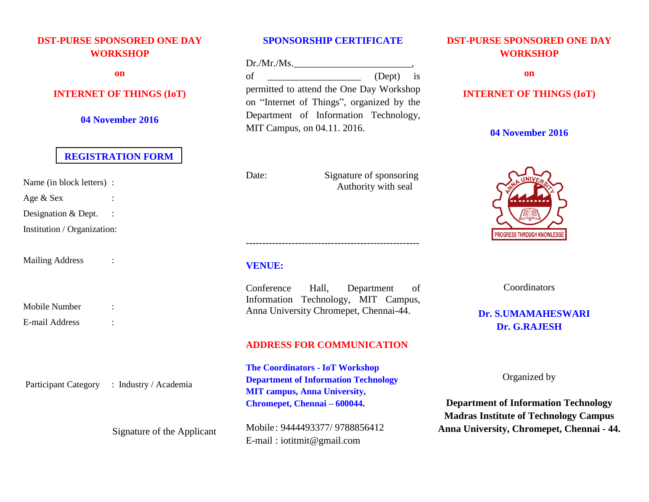# **DST-PURSE SPONSORED ONE DAY WORKSHOP**

**on**

## **INTERNET OF THINGS (IoT)**

**04 November 2016**

## **REGISTRATION FORM**

Name (in block letters) :

Age & Sex :

Designation & Dept. :

Institution / Organization:

Mailing Address :

Mobile Number : E-mail Address :

Participant Category : Industry / Academia

Signature of the Applicant

### **SPONSORSHIP CERTIFICATE**

Dr./Mr./Ms.\_\_\_\_\_\_\_\_\_\_\_\_\_\_\_\_\_\_\_\_\_\_\_\_, of  $\qquad \qquad$  (Dept) is permitted to attend the One Day Workshop on "Internet of Things", organized by the Department of Information Technology, MIT Campus, on 04.11. 2016.

Date: Signature of sponsoring Authority with seal

## **VENUE:**

Conference Hall, Department of Information Technology, MIT Campus, Anna University Chromepet, Chennai-44.

-----------------------------------------------------

## **ADDRESS FOR COMMUNICATION**

**The Coordinators - IoT Workshop Department of Information Technology MIT campus, Anna University, Chromepet, Chennai – 600044.**

Mobile: 9444493377/ 9788856412 E-mail : iotitmit@gmail.com

# **DST-PURSE SPONSORED ONE DAY WORKSHOP**

**on**

## **INTERNET OF THINGS (IoT)**

## **04 November 2016**



**Coordinators** 

# **Dr. S.UMAMAHESWARI Dr. G.RAJESH**

Organized by

**Department of Information Technology Madras Institute of Technology Campus Anna University, Chromepet, Chennai - 44.**